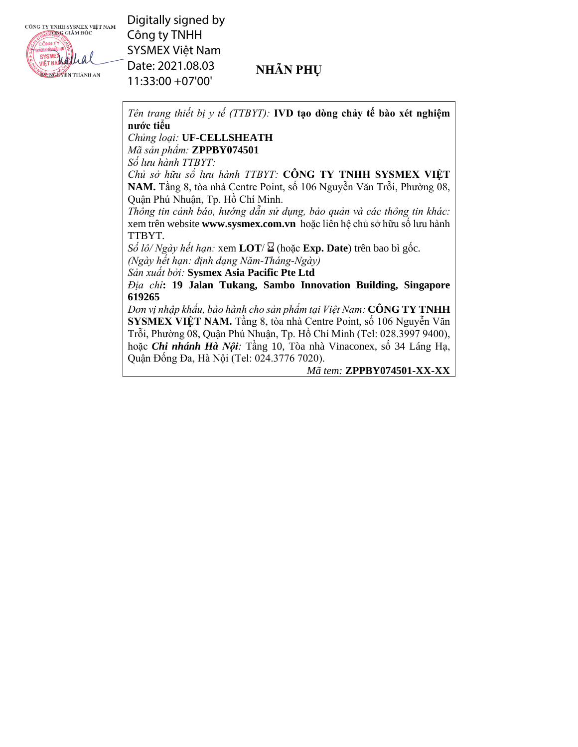CÔNG TY TNHH SYSMEX VIỆT NAM



Digitally signed by Công ty TNHH SYSMEX Việt Nam Date: 2021.08.03 11:33:00 +07'00'

## **NHÃN PHỤ**

*Tên trang thiết bị y tế (TTBYT):* **IVD tạo dòng chảy tế bào xét nghiệm nước tiểu**

## *Chủng loại:* **UF-CELLSHEATH**

*Mã sản phẩm:* **ZPPBY074501** 

*Số lưu hành TTBYT:*

*Chủ sở hữu số lưu hành TTBYT:* **CÔNG TY TNHH SYSMEX VIỆT NAM.** Tầng 8, tòa nhà Centre Point, số 106 Nguyễn Văn Trỗi, Phường 08, Quận Phú Nhuận, Tp. Hồ Chí Minh.

*Thông tin cảnh báo, hướng dẫn sử dụng, bảo quản và các thông tin khác:* xem trên website **www.sysmex.com.vn** hoặc liên hệ chủ sở hữu số lưu hành TTBYT.

 $S\acute{o}$  *lô/ Ngày hết hạn:* xem **LOT**/ $\Sigma$  (hoặc **Exp. Date**) trên bao bì gốc. *(Ngày hết hạn: định dạng Năm-Tháng-Ngày)*

*Sản xuất bởi:* **Sysmex Asia Pacific Pte Ltd** 

*Địa chỉ***: 19 Jalan Tukang, Sambo Innovation Building, Singapore 619265** 

*Đơn vị nhập khẩu, bảo hành cho sản phẩm tại Việt Nam:* **CÔNG TY TNHH SYSMEX VIỆT NAM.** Tầng 8, tòa nhà Centre Point, số 106 Nguyễn Văn Trỗi, Phường 08, Quận Phú Nhuận, Tp. Hồ Chí Minh (Tel: 028.3997 9400), hoặc *Chi nhánh Hà Nội:* Tầng 10, Tòa nhà Vinaconex, số 34 Láng Hạ, Quận Đống Đa, Hà Nội (Tel: 024.3776 7020).

*Mã tem:* **ZPPBY074501-XX-XX**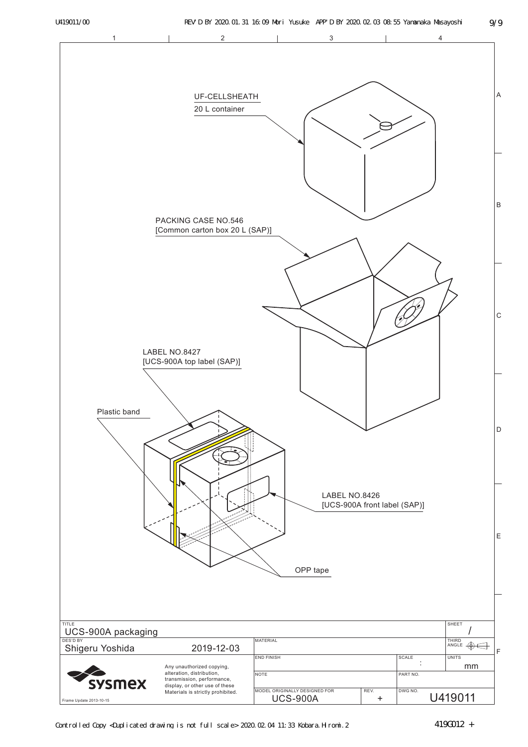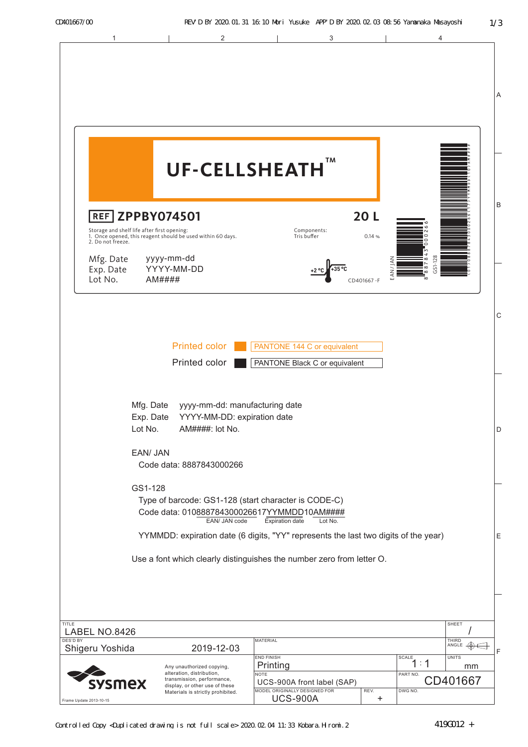| 1                                                                                                                                                                              | $\overline{2}$                                                                                                                       | 3                                                                                                                                                                                                                                                                                                        |                             | 4                                       |                                                                |
|--------------------------------------------------------------------------------------------------------------------------------------------------------------------------------|--------------------------------------------------------------------------------------------------------------------------------------|----------------------------------------------------------------------------------------------------------------------------------------------------------------------------------------------------------------------------------------------------------------------------------------------------------|-----------------------------|-----------------------------------------|----------------------------------------------------------------|
|                                                                                                                                                                                |                                                                                                                                      |                                                                                                                                                                                                                                                                                                          |                             |                                         | Α                                                              |
| <b>REF ZPPBY074501</b>                                                                                                                                                         | <b>UF-CELLSHEATH</b>                                                                                                                 | ТM                                                                                                                                                                                                                                                                                                       | 20L                         |                                         | B                                                              |
| Storage and shelf life after first opening:<br>1. Once opened, this reagent should be used within 60 days.<br>2. Do not freeze.<br>Mfg. Date<br>Exp. Date<br>Lot No.<br>AM#### | yyyy-mm-dd<br>YYYY-MM-DD                                                                                                             | Components:<br>Tris buffer                                                                                                                                                                                                                                                                               | 0.14%<br>EAN/<br>CD401667-F | 0<br>GS1-128<br>8<br>8<br>8<br>$\infty$ |                                                                |
|                                                                                                                                                                                | <b>Printed color</b><br>Printed color                                                                                                | PANTONE 144 C or equivalent<br>PANTONE Black C or equivalent                                                                                                                                                                                                                                             |                             |                                         | $\mathsf{C}$                                                   |
| Mfg. Date<br>Exp. Date<br>Lot No.<br>EAN/ JAN                                                                                                                                  | yyyy-mm-dd: manufacturing date<br>YYYY-MM-DD: expiration date<br>AM####: lot No.<br>Code data: 8887843000266                         |                                                                                                                                                                                                                                                                                                          |                             |                                         | D                                                              |
| GS1-128                                                                                                                                                                        | EAN/ JAN code                                                                                                                        | Type of barcode: GS1-128 (start character is CODE-C)<br>Code data: 010888784300026617YYMMDD10AM####<br><b>Expiration date</b><br>Lot No.<br>YYMMDD: expiration date (6 digits, "YY" represents the last two digits of the year)<br>Use a font which clearly distinguishes the number zero from letter O. |                             |                                         | Е                                                              |
| <b>TITLE</b><br>LABEL NO.8426<br><b>DES'D BY</b><br>Shigeru Yoshida<br><b>/smex</b>                                                                                            | 2019-12-03<br>Any unauthorized copying,<br>alteration, distribution,<br>transmission, performance,<br>display, or other use of these | MATERIAL<br><b>END FINISH</b><br>Printing<br><b>NOTE</b><br>UCS-900A front label (SAP)<br>MODEL ORIGINALLY DESIGNED FOR                                                                                                                                                                                  |                             | SCALE<br>1 : 1<br>PART NO.              | SHEET<br>THIRD<br>ANGLE<br>F<br><b>UNITS</b><br>mm<br>CD401667 |
| Frame Update 2013-10-15                                                                                                                                                        | Materials is strictly prohibited.                                                                                                    | <b>UCS-900A</b>                                                                                                                                                                                                                                                                                          | REV.<br>+                   | DWG NO.                                 |                                                                |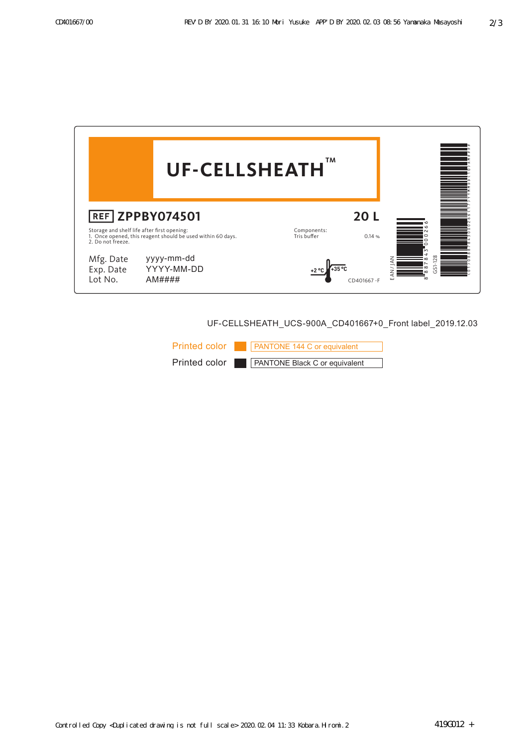

UF-CELLSHEATH\_UCS-900A\_CD401667+0\_Front label\_2019.12.03

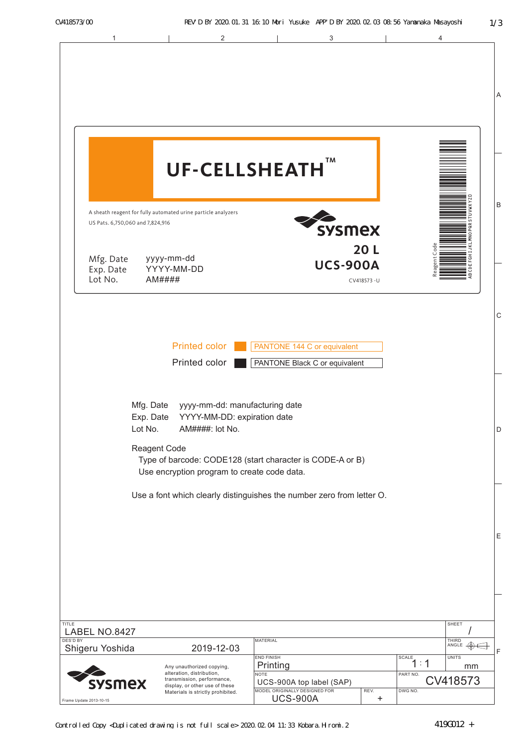| 1                                                            | 2                                                                                                                                                                                                            |                                                                                                                              | 3                                |                                                  | 4                                     |
|--------------------------------------------------------------|--------------------------------------------------------------------------------------------------------------------------------------------------------------------------------------------------------------|------------------------------------------------------------------------------------------------------------------------------|----------------------------------|--------------------------------------------------|---------------------------------------|
|                                                              | <b>UF-CELLSHEATH</b>                                                                                                                                                                                         |                                                                                                                              | TM                               |                                                  |                                       |
| US Pats. 6,750,060 and 7,824,916<br>Mfg. Date<br>Exp. Date   | A sheath reagent for fully automated urine particle analyzers<br>yyyy-mm-dd<br>YYYY-MM-DD                                                                                                                    |                                                                                                                              | <b>SYSMEX</b><br><b>UCS-900A</b> | 20L                                              | Code<br>Φ                             |
| Lot No.                                                      | AM####<br><b>Printed color</b><br>Printed color                                                                                                                                                              | PANTONE 144 C or equivalent<br>PANTONE Black C or equivalent                                                                 |                                  | CV418573-U                                       | ஜ                                     |
| Mfg. Date<br>Exp. Date<br>Lot No.                            | yyyy-mm-dd: manufacturing date<br>YYYY-MM-DD: expiration date<br>AM####: lot No.<br>Reagent Code<br>Type of barcode: CODE128 (start character is CODE-A or B)<br>Use encryption program to create code data. |                                                                                                                              |                                  |                                                  |                                       |
|                                                              | Use a font which clearly distinguishes the number zero from letter O.                                                                                                                                        |                                                                                                                              |                                  |                                                  |                                       |
| TITLE<br>LABEL NO.8427<br><b>DES'D BY</b><br>Shigeru Yoshida | 2019-12-03                                                                                                                                                                                                   | <b>MATERIAL</b>                                                                                                              |                                  |                                                  | SHEET<br>THIRD<br>ANGLE               |
| sysmex<br>Frame Update 2013-10-15                            | Any unauthorized copying,<br>alteration, distribution,<br>transmission, performance,<br>display, or other use of these<br>Materials is strictly prohibited.                                                  | <b>END FINISH</b><br>Printing<br><b>NOTE</b><br>UCS-900A top label (SAP)<br>MODEL ORIGINALLY DESIGNED FOR<br><b>UCS-900A</b> |                                  | <b>SCALE</b><br>PART NO.<br>REV.<br>DWG NO.<br>+ | <b>UNITS</b><br>1:1<br>mm<br>CV418573 |